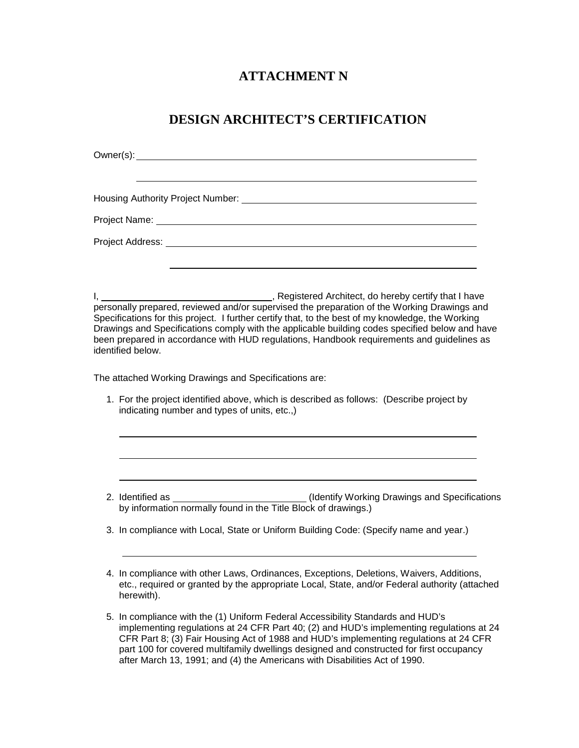## **ATTACHMENT N**

## **DESIGN ARCHITECT'S CERTIFICATION**

| Project Address: No. 2014 12:00:00 Project Address:                                                                                                                                                                                                                                                                                                                                                                                           |  |
|-----------------------------------------------------------------------------------------------------------------------------------------------------------------------------------------------------------------------------------------------------------------------------------------------------------------------------------------------------------------------------------------------------------------------------------------------|--|
|                                                                                                                                                                                                                                                                                                                                                                                                                                               |  |
| Specifications for this project. I further certify that, to the best of my knowledge, the Working<br>Drawings and Specifications comply with the applicable building codes specified below and have<br>been prepared in accordance with HUD regulations, Handbook requirements and guidelines as<br>identified below.                                                                                                                         |  |
| The attached Working Drawings and Specifications are:                                                                                                                                                                                                                                                                                                                                                                                         |  |
| 1. For the project identified above, which is described as follows: (Describe project by<br>indicating number and types of units, etc.,)                                                                                                                                                                                                                                                                                                      |  |
|                                                                                                                                                                                                                                                                                                                                                                                                                                               |  |
|                                                                                                                                                                                                                                                                                                                                                                                                                                               |  |
| 3. In compliance with Local, State or Uniform Building Code: (Specify name and year.)                                                                                                                                                                                                                                                                                                                                                         |  |
| 4. In compliance with other Laws, Ordinances, Exceptions, Deletions, Waivers, Additions,<br>etc., required or granted by the appropriate Local, State, and/or Federal authority (attached<br>herewith).                                                                                                                                                                                                                                       |  |
| 5. In compliance with the (1) Uniform Federal Accessibility Standards and HUD's<br>implementing regulations at 24 CFR Part 40; (2) and HUD's implementing regulations at 24<br>CFR Part 8; (3) Fair Housing Act of 1988 and HUD's implementing regulations at 24 CFR<br>part 100 for covered multifamily dwellings designed and constructed for first occupancy<br>after March 13, 1991; and (4) the Americans with Disabilities Act of 1990. |  |